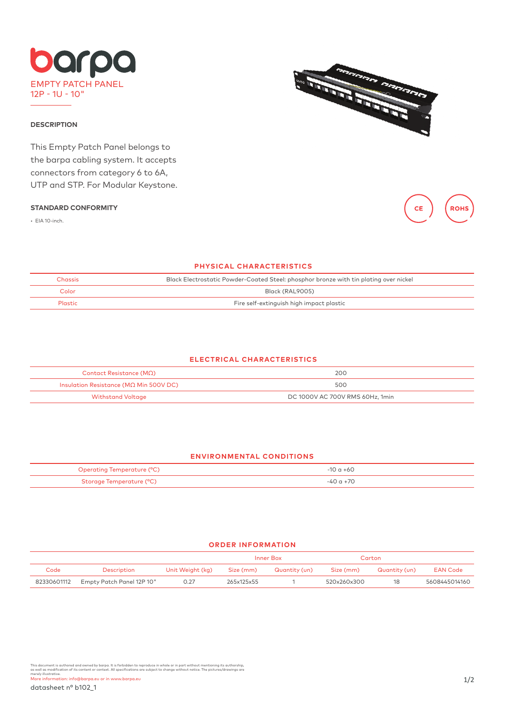

### **DESCRIPTION**

This Empty Patch Panel belongs to the barpa cabling system. It accepts connectors from category 6 to 6A, UTP and STP. For Modular Keystone.

#### **STANDARD CONFORMITY**

• EIA 10-inch.





### **PHYSICAL CHARACTERISTICS**

| <b>Chassis</b> | Black Electrostatic Powder-Coated Steel: phosphor bronze with tin plating over nickel |  |  |  |  |
|----------------|---------------------------------------------------------------------------------------|--|--|--|--|
| Color          | Black (RAL9005)                                                                       |  |  |  |  |
| Plastic        | Fire self-extinguish high impact plastic                                              |  |  |  |  |

# **ELECTRICAL CHARACTERISTICS**

| Contact Resistance (ΜΩ)                        | 200                             |  |  |  |
|------------------------------------------------|---------------------------------|--|--|--|
| Insulation Resistance ( $M\Omega$ Min 500V DC) | 500                             |  |  |  |
| <b>Withstand Voltage</b>                       | DC 1000V AC 700V RMS 60Hz, 1min |  |  |  |

### **ENVIRONMENTAL CONDITIONS**

| Operating Temperature (°C) | -10 a +60  |
|----------------------------|------------|
| Storage Temperature (°C)   | $50a + 70$ |

## **ORDER INFORMATION**

|             |                           |                  | Inner Box  |               | Carton      |               |                 |
|-------------|---------------------------|------------------|------------|---------------|-------------|---------------|-----------------|
| Code        | Description               | Unit Weight (kg) | Size (mm)  | Quantity (un) | Size (mm)   | Quantity (un) | <b>EAN Code</b> |
| 82330601112 | Empty Patch Panel 12P 10" | 0.27             | 265x125x55 |               | 520x260x300 | 18            | 5608445014160   |

This document is authored and owned by barpa. It is forbidden to reproduce in whole or in part without mentioning its authorship,<br>as well as modificative of its content or context. All specifications are subject to change